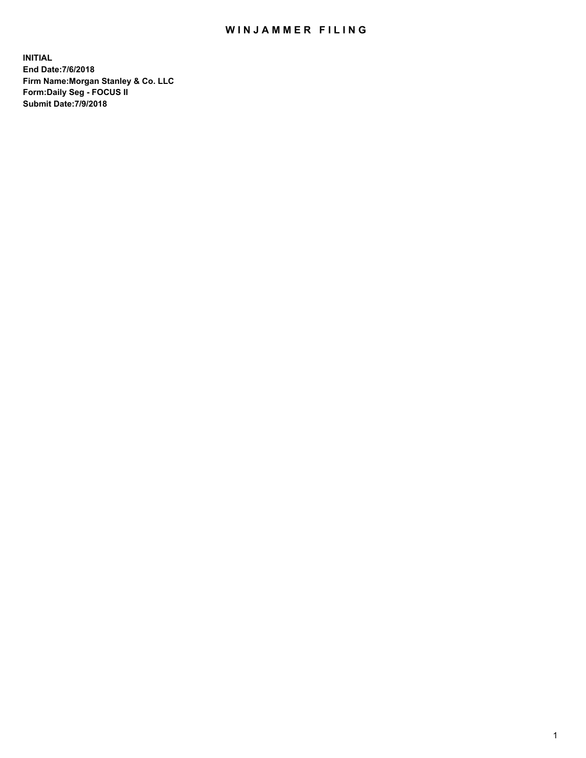## WIN JAMMER FILING

**INITIAL End Date:7/6/2018 Firm Name:Morgan Stanley & Co. LLC Form:Daily Seg - FOCUS II Submit Date:7/9/2018**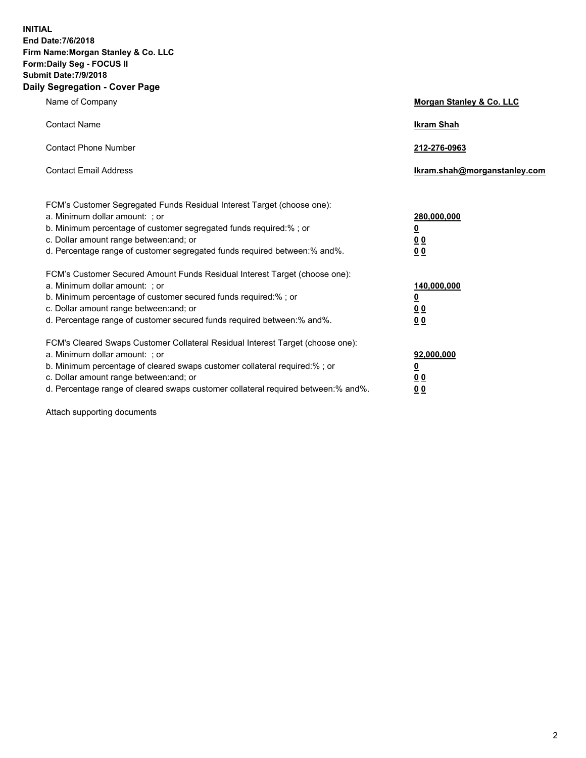**INITIAL End Date:7/6/2018 Firm Name:Morgan Stanley & Co. LLC Form:Daily Seg - FOCUS II Submit Date:7/9/2018 Daily Segregation - Cover Page**

| Name of Company                                                                                                              | Morgan Stanley & Co. LLC     |
|------------------------------------------------------------------------------------------------------------------------------|------------------------------|
| <b>Contact Name</b>                                                                                                          | <b>Ikram Shah</b>            |
| <b>Contact Phone Number</b>                                                                                                  | 212-276-0963                 |
| <b>Contact Email Address</b>                                                                                                 | Ikram.shah@morganstanley.com |
| FCM's Customer Segregated Funds Residual Interest Target (choose one):                                                       |                              |
| a. Minimum dollar amount: ; or                                                                                               | 280,000,000                  |
| b. Minimum percentage of customer segregated funds required:%; or                                                            | <u>0</u>                     |
| c. Dollar amount range between: and; or                                                                                      | <u>00</u>                    |
| d. Percentage range of customer segregated funds required between:% and%.                                                    | <u>00</u>                    |
| FCM's Customer Secured Amount Funds Residual Interest Target (choose one):                                                   |                              |
| a. Minimum dollar amount: ; or                                                                                               | 140,000,000                  |
| b. Minimum percentage of customer secured funds required:%; or                                                               | <u>0</u>                     |
| c. Dollar amount range between: and; or                                                                                      | <u>00</u>                    |
| d. Percentage range of customer secured funds required between: % and %.                                                     | 0 <sub>0</sub>               |
| FCM's Cleared Swaps Customer Collateral Residual Interest Target (choose one):                                               |                              |
| a. Minimum dollar amount: ; or                                                                                               | 92,000,000                   |
| b. Minimum percentage of cleared swaps customer collateral required:% ; or                                                   | <u>0</u>                     |
| c. Dollar amount range between: and; or<br>d. Percentage range of cleared swaps customer collateral required between:% and%. | 00                           |
|                                                                                                                              | 00                           |

Attach supporting documents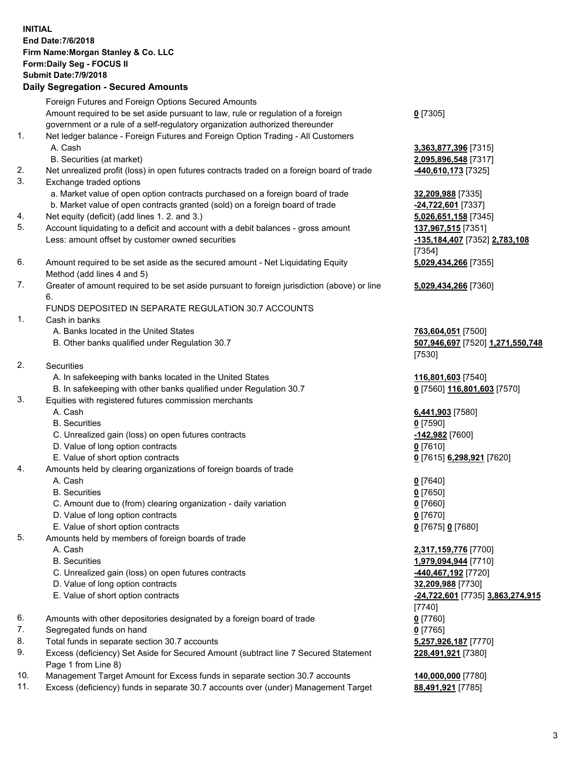|                | <b>INITIAL</b><br>End Date: 7/6/2018<br>Firm Name: Morgan Stanley & Co. LLC<br>Form: Daily Seg - FOCUS II<br><b>Submit Date: 7/9/2018</b><br><b>Daily Segregation - Secured Amounts</b> |                                                        |
|----------------|-----------------------------------------------------------------------------------------------------------------------------------------------------------------------------------------|--------------------------------------------------------|
|                | Foreign Futures and Foreign Options Secured Amounts                                                                                                                                     |                                                        |
|                | Amount required to be set aside pursuant to law, rule or regulation of a foreign                                                                                                        | $0$ [7305]                                             |
| 1.             | government or a rule of a self-regulatory organization authorized thereunder<br>Net ledger balance - Foreign Futures and Foreign Option Trading - All Customers                         |                                                        |
|                | A. Cash                                                                                                                                                                                 | 3,363,877,396 [7315]                                   |
|                | B. Securities (at market)                                                                                                                                                               | 2,095,896,548 [7317]                                   |
| 2.             | Net unrealized profit (loss) in open futures contracts traded on a foreign board of trade                                                                                               | <u>-440,610,173</u> [7325]                             |
| 3.             | Exchange traded options                                                                                                                                                                 |                                                        |
|                | a. Market value of open option contracts purchased on a foreign board of trade                                                                                                          | 32,209,988 [7335]                                      |
|                | b. Market value of open contracts granted (sold) on a foreign board of trade                                                                                                            | -24,722,601 [7337]                                     |
| 4.<br>5.       | Net equity (deficit) (add lines 1.2. and 3.)<br>Account liquidating to a deficit and account with a debit balances - gross amount                                                       | 5,026,651,158 [7345]<br>137,967,515 [7351]             |
|                | Less: amount offset by customer owned securities                                                                                                                                        | -135,184,407 [7352] 2,783,108<br>[7354]                |
| 6.             | Amount required to be set aside as the secured amount - Net Liquidating Equity<br>Method (add lines 4 and 5)                                                                            | 5,029,434,266 [7355]                                   |
| 7.             | Greater of amount required to be set aside pursuant to foreign jurisdiction (above) or line<br>6.                                                                                       | 5,029,434,266 [7360]                                   |
|                | FUNDS DEPOSITED IN SEPARATE REGULATION 30.7 ACCOUNTS                                                                                                                                    |                                                        |
| 1.             | Cash in banks                                                                                                                                                                           |                                                        |
|                | A. Banks located in the United States<br>B. Other banks qualified under Regulation 30.7                                                                                                 | 763,604,051 [7500]<br>507,946,697 [7520] 1,271,550,748 |
|                |                                                                                                                                                                                         | [7530]                                                 |
| 2.             | Securities                                                                                                                                                                              |                                                        |
|                | A. In safekeeping with banks located in the United States                                                                                                                               | 116,801,603 [7540]                                     |
|                | B. In safekeeping with other banks qualified under Regulation 30.7                                                                                                                      | 0 [7560] 116,801,603 [7570]                            |
| 3.             | Equities with registered futures commission merchants                                                                                                                                   |                                                        |
|                | A. Cash<br><b>B.</b> Securities                                                                                                                                                         | 6,441,903 [7580]<br>$0$ [7590]                         |
|                | C. Unrealized gain (loss) on open futures contracts                                                                                                                                     | <u>-142,982</u> [7600]                                 |
|                | D. Value of long option contracts                                                                                                                                                       | $0$ [7610]                                             |
|                | E. Value of short option contracts                                                                                                                                                      | 0 [7615] 6,298,921 [7620]                              |
| 4.             | Amounts held by clearing organizations of foreign boards of trade                                                                                                                       |                                                        |
|                | A. Cash                                                                                                                                                                                 | $0$ [7640]                                             |
|                | <b>B.</b> Securities                                                                                                                                                                    | $0$ [7650]                                             |
|                | C. Amount due to (from) clearing organization - daily variation                                                                                                                         | $0$ [7660]                                             |
|                | D. Value of long option contracts<br>E. Value of short option contracts                                                                                                                 | $0$ [7670]<br>0 [7675] 0 [7680]                        |
| 5.             | Amounts held by members of foreign boards of trade                                                                                                                                      |                                                        |
|                | A. Cash                                                                                                                                                                                 | 2,317,159,776 [7700]                                   |
|                | <b>B.</b> Securities                                                                                                                                                                    | 1,979,094,944 [7710]                                   |
|                | C. Unrealized gain (loss) on open futures contracts                                                                                                                                     | <u>-440,467,192</u> [7720]                             |
|                | D. Value of long option contracts                                                                                                                                                       | 32,209,988 [7730]                                      |
|                | E. Value of short option contracts                                                                                                                                                      | -24,722,601 [7735] 3,863,274,915                       |
|                |                                                                                                                                                                                         | [7740]                                                 |
| 6.<br>7.       | Amounts with other depositories designated by a foreign board of trade<br>Segregated funds on hand                                                                                      | $0$ [7760]<br>$0$ [7765]                               |
| 8.             | Total funds in separate section 30.7 accounts                                                                                                                                           | 5,257,926,187 [7770]                                   |
| 9.             | Excess (deficiency) Set Aside for Secured Amount (subtract line 7 Secured Statement                                                                                                     | 228,491,921 [7380]                                     |
| $\overline{A}$ | Page 1 from Line 8)<br>marked a formula to                                                                                                                                              |                                                        |

- 10. Management Target Amount for Excess funds in separate section 30.7 accounts **140,000,000** [7780]
- 11. Excess (deficiency) funds in separate 30.7 accounts over (under) Management Target **88,491,921** [7785]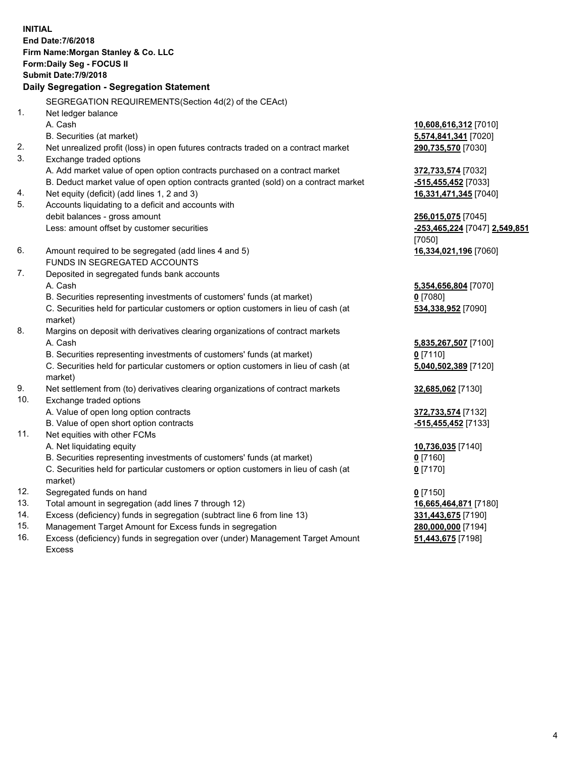**INITIAL End Date:7/6/2018 Firm Name:Morgan Stanley & Co. LLC Form:Daily Seg - FOCUS II Submit Date:7/9/2018 Daily Segregation - Segregation Statement** SEGREGATION REQUIREMENTS(Section 4d(2) of the CEAct) 1. Net ledger balance A. Cash **10,608,616,312** [7010] B. Securities (at market) **5,574,841,341** [7020] 2. Net unrealized profit (loss) in open futures contracts traded on a contract market **290,735,570** [7030] 3. Exchange traded options A. Add market value of open option contracts purchased on a contract market **372,733,574** [7032] B. Deduct market value of open option contracts granted (sold) on a contract market **-515,455,452** [7033] 4. Net equity (deficit) (add lines 1, 2 and 3) **16,331,471,345** [7040] 5. Accounts liquidating to a deficit and accounts with debit balances - gross amount **256,015,075** [7045] Less: amount offset by customer securities **-253,465,224** [7047] **2,549,851** [7050] 6. Amount required to be segregated (add lines 4 and 5) **16,334,021,196** [7060] FUNDS IN SEGREGATED ACCOUNTS 7. Deposited in segregated funds bank accounts A. Cash **5,354,656,804** [7070] B. Securities representing investments of customers' funds (at market) **0** [7080] C. Securities held for particular customers or option customers in lieu of cash (at market) **534,338,952** [7090] 8. Margins on deposit with derivatives clearing organizations of contract markets A. Cash **5,835,267,507** [7100] B. Securities representing investments of customers' funds (at market) **0** [7110] C. Securities held for particular customers or option customers in lieu of cash (at market) **5,040,502,389** [7120] 9. Net settlement from (to) derivatives clearing organizations of contract markets **32,685,062** [7130] 10. Exchange traded options A. Value of open long option contracts **372,733,574** [7132] B. Value of open short option contracts **-515,455,452** [7133] 11. Net equities with other FCMs A. Net liquidating equity **10,736,035** [7140] B. Securities representing investments of customers' funds (at market) **0** [7160] C. Securities held for particular customers or option customers in lieu of cash (at market) **0** [7170] 12. Segregated funds on hand **0** [7150] 13. Total amount in segregation (add lines 7 through 12) **16,665,464,871** [7180] 14. Excess (deficiency) funds in segregation (subtract line 6 from line 13) **331,443,675** [7190]

- 15. Management Target Amount for Excess funds in segregation **280,000,000** [7194]
- 16. Excess (deficiency) funds in segregation over (under) Management Target Amount Excess

**51,443,675** [7198]